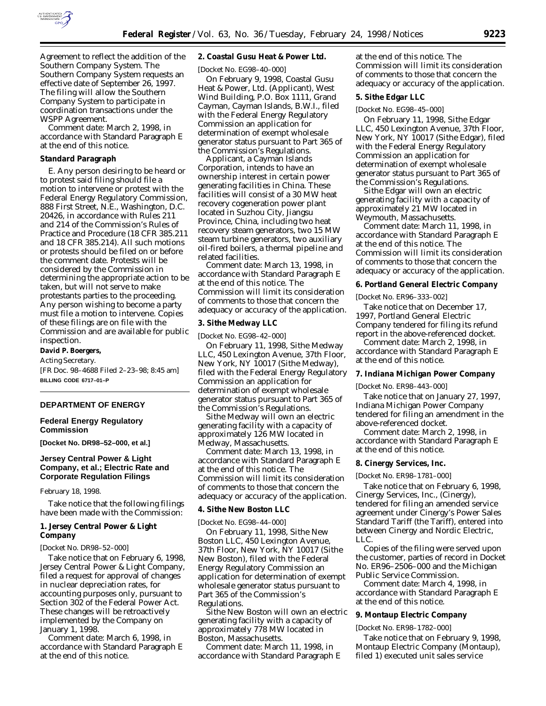

Agreement to reflect the addition of the Southern Company System. The Southern Company System requests an effective date of September 26, 1997. The filing will allow the Southern Company System to participate in coordination transactions under the WSPP Agreement.

*Comment date:* March 2, 1998, in accordance with Standard Paragraph E at the end of this notice.

#### **Standard Paragraph**

E. Any person desiring to be heard or to protest said filing should file a motion to intervene or protest with the Federal Energy Regulatory Commission, 888 First Street, N.E., Washington, D.C. 20426, in accordance with Rules 211 and 214 of the Commission's Rules of Practice and Procedure (18 CFR 385.211 and 18 CFR 385.214). All such motions or protests should be filed on or before the comment date. Protests will be considered by the Commission in determining the appropriate action to be taken, but will not serve to make protestants parties to the proceeding. Any person wishing to become a party must file a motion to intervene. Copies of these filings are on file with the Commission and are available for public inspection.

#### **David P. Boergers,**

*Acting Secretary.*

[FR Doc. 98–4688 Filed 2–23–98; 8:45 am] **BILLING CODE 6717–01–P**

#### **DEPARTMENT OF ENERGY**

### **Federal Energy Regulatory Commission**

**[Docket No. DR98–52–000, et al.]**

## **Jersey Central Power & Light Company, et al.; Electric Rate and Corporate Regulation Filings**

February 18, 1998.

Take notice that the following filings have been made with the Commission:

### **1. Jersey Central Power & Light Company**

[Docket No. DR98–52–000]

Take notice that on February 6, 1998, Jersey Central Power & Light Company, filed a request for approval of changes in nuclear depreciation rates, for accounting purposes only, pursuant to Section 302 of the Federal Power Act. These changes will be retroactively implemented by the Company on January 1, 1998.

*Comment date:* March 6, 1998, in accordance with Standard Paragraph E at the end of this notice.

### **2. Coastal Gusu Heat & Power Ltd.**

[Docket No. EG98–40–000]

On February 9, 1998, Coastal Gusu Heat & Power, Ltd. (Applicant), West Wind Building, P.O. Box 1111, Grand Cayman, Cayman Islands, B.W.I., filed with the Federal Energy Regulatory Commission an application for determination of exempt wholesale generator status pursuant to Part 365 of the Commission's Regulations.

Applicant, a Cayman Islands Corporation, intends to have an ownership interest in certain power generating facilities in China. These facilities will consist of a 30 MW heat recovery cogeneration power plant located in Suzhou City, Jiangsu Province, China, including two heat recovery steam generators, two 15 MW steam turbine generators, two auxiliary oil-fired boilers, a thermal pipeline and related facilities.

*Comment date:* March 13, 1998, in accordance with Standard Paragraph E at the end of this notice. The Commission will limit its consideration of comments to those that concern the adequacy or accuracy of the application.

#### **3. Sithe Medway LLC**

[Docket No. EG98–42–000]

On February 11, 1998, Sithe Medway LLC, 450 Lexington Avenue, 37th Floor, New York, NY 10017 (Sithe Medway), filed with the Federal Energy Regulatory Commission an application for determination of exempt wholesale generator status pursuant to Part 365 of the Commission's Regulations.

Sithe Medway will own an electric generating facility with a capacity of approximately 126 MW located in Medway, Massachusetts.

*Comment date:* March 13, 1998, in accordance with Standard Paragraph E at the end of this notice. The Commission will limit its consideration of comments to those that concern the adequacy or accuracy of the application.

#### **4. Sithe New Boston LLC**

[Docket No. EG98–44–000]

On February 11, 1998, Sithe New Boston LLC, 450 Lexington Avenue, 37th Floor, New York, NY 10017 (Sithe New Boston), filed with the Federal Energy Regulatory Commission an application for determination of exempt wholesale generator status pursuant to Part 365 of the Commission's Regulations.

Sithe New Boston will own an electric generating facility with a capacity of approximately 778 MW located in Boston, Massachusetts.

*Comment date:* March 11, 1998, in accordance with Standard Paragraph E at the end of this notice. The Commission will limit its consideration of comments to those that concern the adequacy or accuracy of the application.

#### **5. Sithe Edgar LLC**

[Docket No. EG98–45–000]

On February 11, 1998, Sithe Edgar LLC, 450 Lexington Avenue, 37th Floor, New York, NY 10017 (Sithe Edgar), filed with the Federal Energy Regulatory Commission an application for determination of exempt wholesale generator status pursuant to Part 365 of the Commission's Regulations.

Sithe Edgar will own an electric generating facility with a capacity of approximately 21 MW located in Weymouth, Massachusetts.

*Comment date:* March 11, 1998, in accordance with Standard Paragraph E at the end of this notice. The Commission will limit its consideration of comments to those that concern the adequacy or accuracy of the application.

### **6. Portland General Electric Company**

[Docket No. ER96–333–002]

Take notice that on December 17, 1997, Portland General Electric Company tendered for filing its refund report in the above-referenced docket.

*Comment date:* March 2, 1998, in accordance with Standard Paragraph E at the end of this notice.

#### **7. Indiana Michigan Power Company**

[Docket No. ER98–443–000]

Take notice that on January 27, 1997, Indiana Michigan Power Company tendered for filing an amendment in the above-referenced docket.

*Comment date:* March 2, 1998, in accordance with Standard Paragraph E at the end of this notice.

### **8. Cinergy Services, Inc.**

[Docket No. ER98–1781–000]

Take notice that on February 6, 1998, Cinergy Services, Inc., (Cinergy), tendered for filing an amended service agreement under Cinergy's Power Sales Standard Tariff (the Tariff), entered into between Cinergy and Nordic Electric, LLC.

Copies of the filing were served upon the customer, parties of record in Docket No. ER96–2506–000 and the Michigan Public Service Commission.

*Comment date:* March 4, 1998, in accordance with Standard Paragraph E at the end of this notice.

### **9. Montaup Electric Company**

[Docket No. ER98–1782–000]

Take notice that on February 9, 1998, Montaup Electric Company (Montaup), filed 1) executed unit sales service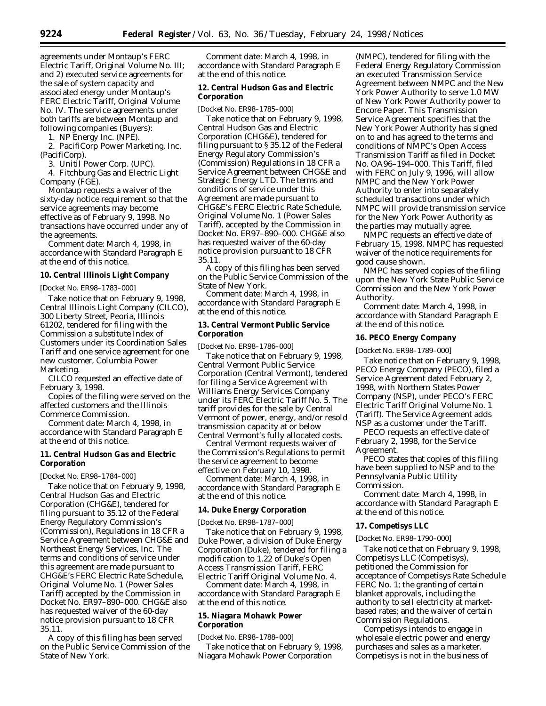agreements under Montaup's FERC Electric Tariff, Original Volume No. III; and 2) executed service agreements for the sale of system capacity and associated energy under Montaup's FERC Electric Tariff, Original Volume No. IV. The service agreements under both tariffs are between Montaup and following companies (Buyers):

1. NP Energy Inc. (NPE).

2. PacifiCorp Power Marketing, Inc. (PacifiCorp).

3. Unitil Power Corp. (UPC).

4. Fitchburg Gas and Electric Light Company (FGE).

Montaup requests a waiver of the sixty-day notice requirement so that the service agreements may become effective as of February 9, 1998. No transactions have occurred under any of the agreements.

*Comment date:* March 4, 1998, in accordance with Standard Paragraph E at the end of this notice.

#### **10. Central Illinois Light Company**

[Docket No. ER98–1783–000]

Take notice that on February 9, 1998, Central Illinois Light Company (CILCO), 300 Liberty Street, Peoria, Illinois 61202, tendered for filing with the Commission a substitute Index of Customers under its Coordination Sales Tariff and one service agreement for one new customer, Columbia Power Marketing.

CILCO requested an effective date of February 3, 1998.

Copies of the filing were served on the affected customers and the Illinois Commerce Commission.

*Comment date:* March 4, 1998, in accordance with Standard Paragraph E at the end of this notice.

## **11. Central Hudson Gas and Electric Corporation**

[Docket No. ER98–1784–000]

Take notice that on February 9, 1998, Central Hudson Gas and Electric Corporation (CHG&E), tendered for filing pursuant to 35.12 of the Federal Energy Regulatory Commission's (Commission), Regulations in 18 CFR a Service Agreement between CHG&E and Northeast Energy Services, Inc. The terms and conditions of service under this agreement are made pursuant to CHG&E's FERC Electric Rate Schedule, Original Volume No. 1 (Power Sales Tariff) accepted by the Commission in Docket No. ER97–890–000. CHG&E also has requested waiver of the 60-day notice provision pursuant to 18 CFR 35.11.

A copy of this filing has been served on the Public Service Commission of the State of New York.

*Comment date:* March 4, 1998, in accordance with Standard Paragraph E at the end of this notice.

# **12. Central Hudson Gas and Electric Corporation**

[Docket No. ER98–1785–000]

Take notice that on February 9, 1998, Central Hudson Gas and Electric Corporation (CHG&E), tendered for filing pursuant to § 35.12 of the Federal Energy Regulatory Commission's (Commission) Regulations in 18 CFR a Service Agreement between CHG&E and Strategic Energy LTD. The terms and conditions of service under this Agreement are made pursuant to CHG&E's FERC Electric Rate Schedule, Original Volume No. 1 (Power Sales Tariff), accepted by the Commission in Docket No. ER97–890–000. CHG&E also has requested waiver of the 60-day notice provision pursuant to 18 CFR 35.11.

A copy of this filing has been served on the Public Service Commission of the State of New York.

*Comment date:* March 4, 1998, in accordance with Standard Paragraph E at the end of this notice.

### **13. Central Vermont Public Service Corporation**

[Docket No. ER98–1786–000]

Take notice that on February 9, 1998, Central Vermont Public Service Corporation (Central Vermont), tendered for filing a Service Agreement with Williams Energy Services Company under its FERC Electric Tariff No. 5. The tariff provides for the sale by Central Vermont of power, energy, and/or resold transmission capacity at or below Central Vermont's fully allocated costs.

Central Vermont requests waiver of the Commission's Regulations to permit the service agreement to become effective on February 10, 1998.

*Comment date:* March 4, 1998, in accordance with Standard Paragraph E at the end of this notice.

### **14. Duke Energy Corporation**

[Docket No. ER98–1787–000]

Take notice that on February 9, 1998, Duke Power, a division of Duke Energy Corporation (Duke), tendered for filing a modification to 1.22 of Duke's Open Access Transmission Tariff, FERC Electric Tariff Original Volume No. 4.

*Comment date:* March 4, 1998, in accordance with Standard Paragraph E at the end of this notice.

# **15. Niagara Mohawk Power Corporation**

[Docket No. ER98–1788–000]

Take notice that on February 9, 1998, Niagara Mohawk Power Corporation

(NMPC), tendered for filing with the Federal Energy Regulatory Commission an executed Transmission Service Agreement between NMPC and the New York Power Authority to serve 1.0 MW of New York Power Authority power to Encore Paper. This Transmission Service Agreement specifies that the New York Power Authority has signed on to and has agreed to the terms and conditions of NMPC's Open Access Transmission Tariff as filed in Docket No. OA96–194–000. This Tariff, filed with FERC on July 9, 1996, will allow NMPC and the New York Power Authority to enter into separately scheduled transactions under which NMPC will provide transmission service for the New York Power Authority as the parties may mutually agree.

NMPC requests an effective date of February 15, 1998. NMPC has requested waiver of the notice requirements for good cause shown.

NMPC has served copies of the filing upon the New York State Public Service Commission and the New York Power Authority.

*Comment date:* March 4, 1998, in accordance with Standard Paragraph E at the end of this notice.

### **16. PECO Energy Company**

[Docket No. ER98–1789–000]

Take notice that on February 9, 1998, PECO Energy Company (PECO), filed a Service Agreement dated February 2, 1998, with Northern States Power Company (NSP), under PECO's FERC Electric Tariff Original Volume No. 1 (Tariff). The Service Agreement adds NSP as a customer under the Tariff.

PECO requests an effective date of February 2, 1998, for the Service Agreement.

PECO states that copies of this filing have been supplied to NSP and to the Pennsylvania Public Utility Commission.

*Comment date:* March 4, 1998, in accordance with Standard Paragraph E at the end of this notice.

### **17. Competisys LLC**

[Docket No. ER98–1790–000]

Take notice that on February 9, 1998, Competisys LLC (Competisys), petitioned the Commission for acceptance of Competisys Rate Schedule FERC No. 1; the granting of certain blanket approvals, including the authority to sell electricity at marketbased rates; and the waiver of certain Commission Regulations.

Competisys intends to engage in wholesale electric power and energy purchases and sales as a marketer. Competisys is not in the business of